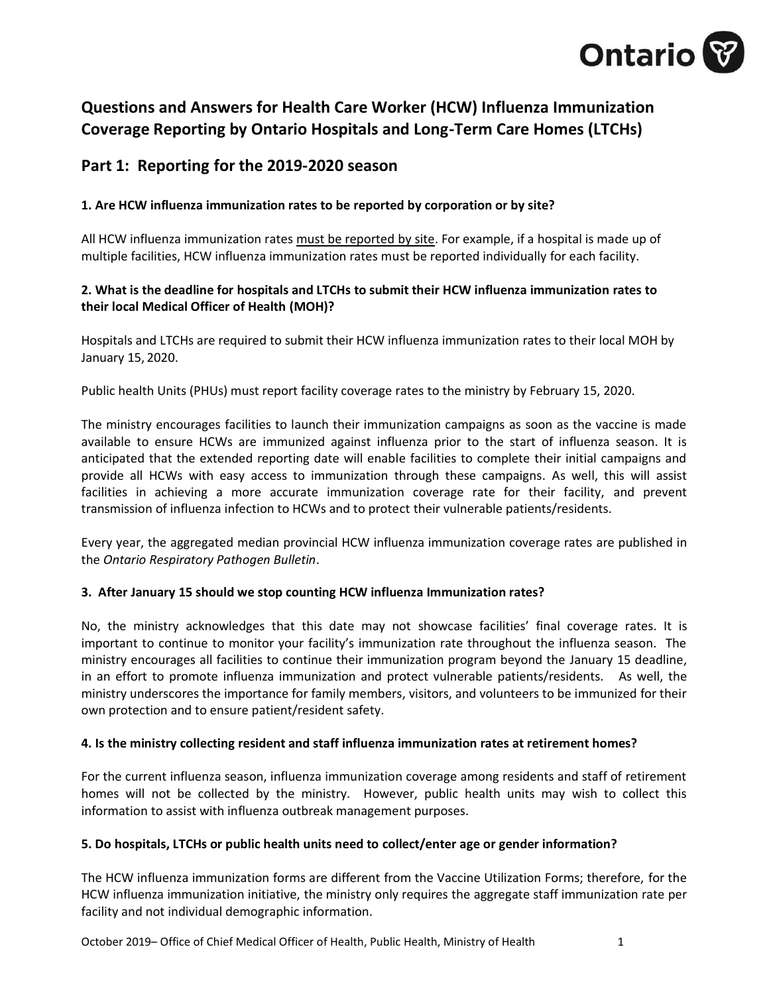

# **Questions and Answers for Health Care Worker (HCW) Influenza Immunization Coverage Reporting by Ontario Hospitals and Long-Term Care Homes (LTCHs)**

# **Part 1: Reporting for the 2019-2020 season**

# **1. Are HCW influenza immunization rates to be reported by corporation or by site?**

All HCW influenza immunization rates must be reported by site. For example, if a hospital is made up of multiple facilities, HCW influenza immunization rates must be reported individually for each facility.

## **2. What is the deadline for hospitals and LTCHs to submit their HCW influenza immunization rates to their local Medical Officer of Health (MOH)?**

Hospitals and LTCHs are required to submit their HCW influenza immunization rates to their local MOH by January 15, 2020.

Public health Units (PHUs) must report facility coverage rates to the ministry by February 15, 2020.

The ministry encourages facilities to launch their immunization campaigns as soon as the vaccine is made available to ensure HCWs are immunized against influenza prior to the start of influenza season. It is anticipated that the extended reporting date will enable facilities to complete their initial campaigns and provide all HCWs with easy access to immunization through these campaigns. As well, this will assist facilities in achieving a more accurate immunization coverage rate for their facility, and prevent transmission of influenza infection to HCWs and to protect their vulnerable patients/residents.

Every year, the aggregated median provincial HCW influenza immunization coverage rates are published in the *Ontario Respiratory Pathogen Bulletin*.

#### **3. After January 15 should we stop counting HCW influenza Immunization rates?**

No, the ministry acknowledges that this date may not showcase facilities' final coverage rates. It is important to continue to monitor your facility's immunization rate throughout the influenza season. The ministry encourages all facilities to continue their immunization program beyond the January 15 deadline, in an effort to promote influenza immunization and protect vulnerable patients/residents. As well, the ministry underscores the importance for family members, visitors, and volunteers to be immunized for their own protection and to ensure patient/resident safety.

#### **4. Is the ministry collecting resident and staff influenza immunization rates at retirement homes?**

For the current influenza season, influenza immunization coverage among residents and staff of retirement homes will not be collected by the ministry. However, public health units may wish to collect this information to assist with influenza outbreak management purposes.

#### **5. Do hospitals, LTCHs or public health units need to collect/enter age or gender information?**

The HCW influenza immunization forms are different from the Vaccine Utilization Forms; therefore, for the HCW influenza immunization initiative, the ministry only requires the aggregate staff immunization rate per facility and not individual demographic information.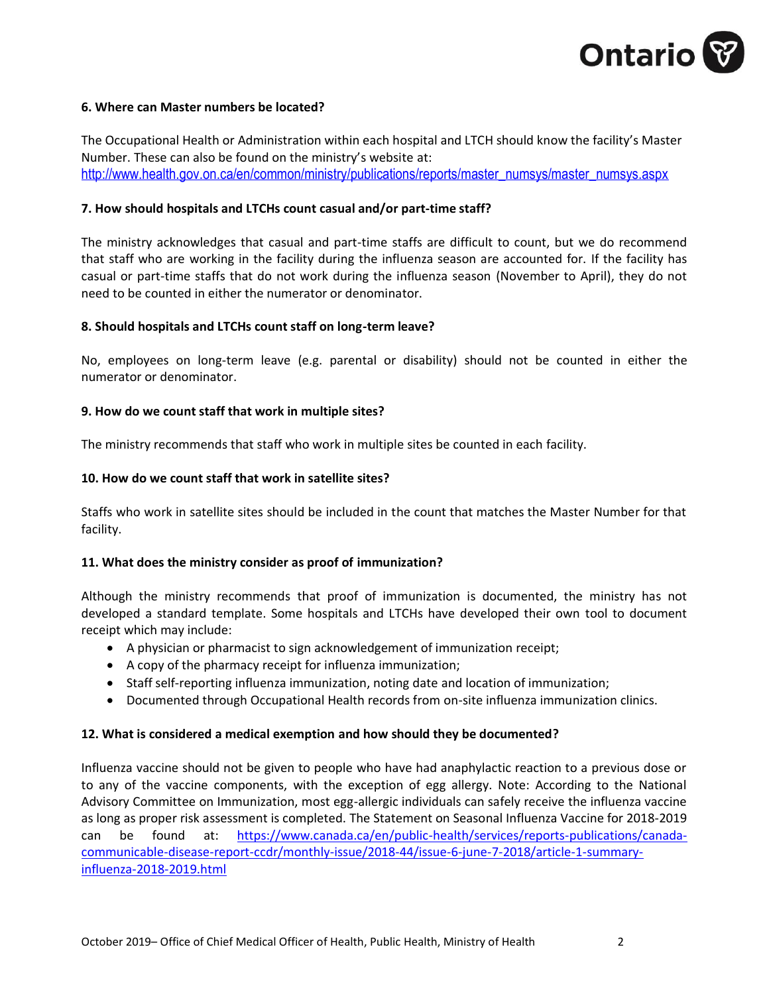

#### **6. Where can Master numbers be located?**

The Occupational Health or Administration within each hospital and LTCH should know the facility's Master Number. These can also be found on the ministry's website at: [http://www.health.gov.on.ca/en/common/ministry/publications/reports/master\\_numsys/master\\_numsys.aspx](http://www.health.gov.on.ca/en/common/ministry/publications/reports/master_numsys/master_numsys.aspx)

#### **7. How should hospitals and LTCHs count casual and/or part-time staff?**

The ministry acknowledges that casual and part-time staffs are difficult to count, but we do recommend that staff who are working in the facility during the influenza season are accounted for. If the facility has casual or part-time staffs that do not work during the influenza season (November to April), they do not need to be counted in either the numerator or denominator.

#### **8. Should hospitals and LTCHs count staff on long-term leave?**

No, employees on long-term leave (e.g. parental or disability) should not be counted in either the numerator or denominator.

#### **9. How do we count staff that work in multiple sites?**

The ministry recommends that staff who work in multiple sites be counted in each facility.

#### **10. How do we count staff that work in satellite sites?**

Staffs who work in satellite sites should be included in the count that matches the Master Number for that facility.

#### **11. What does the ministry consider as proof of immunization?**

Although the ministry recommends that proof of immunization is documented, the ministry has not developed a standard template. Some hospitals and LTCHs have developed their own tool to document receipt which may include:

- A physician or pharmacist to sign acknowledgement of immunization receipt;
- A copy of the pharmacy receipt for influenza immunization;
- Staff self-reporting influenza immunization, noting date and location of immunization;
- Documented through Occupational Health records from on-site influenza immunization clinics.

#### **12. What is considered a medical exemption and how should they be documented?**

Influenza vaccine should not be given to people who have had anaphylactic reaction to a previous dose or to any of the vaccine components, with the exception of egg allergy. Note: According to the National Advisory Committee on Immunization, most egg-allergic individuals can safely receive the influenza vaccine as long as proper risk assessment is completed. The Statement on Seasonal Influenza Vaccine for 2018-2019 can be found at: [https://www.canada.ca/en/public-health/services/reports-publications/canada](https://www.canada.ca/en/public-health/services/reports-publications/canada-communicable-disease-report-ccdr/monthly-issue/2018-44/issue-6-june-7-2018/article-1-summary-influenza-2018-2019.html)[communicable-disease-report-ccdr/monthly-issue/2018-44/issue-6-june-7-2018/article-1-summary](https://www.canada.ca/en/public-health/services/reports-publications/canada-communicable-disease-report-ccdr/monthly-issue/2018-44/issue-6-june-7-2018/article-1-summary-influenza-2018-2019.html)[influenza-2018-2019.html](https://www.canada.ca/en/public-health/services/reports-publications/canada-communicable-disease-report-ccdr/monthly-issue/2018-44/issue-6-june-7-2018/article-1-summary-influenza-2018-2019.html)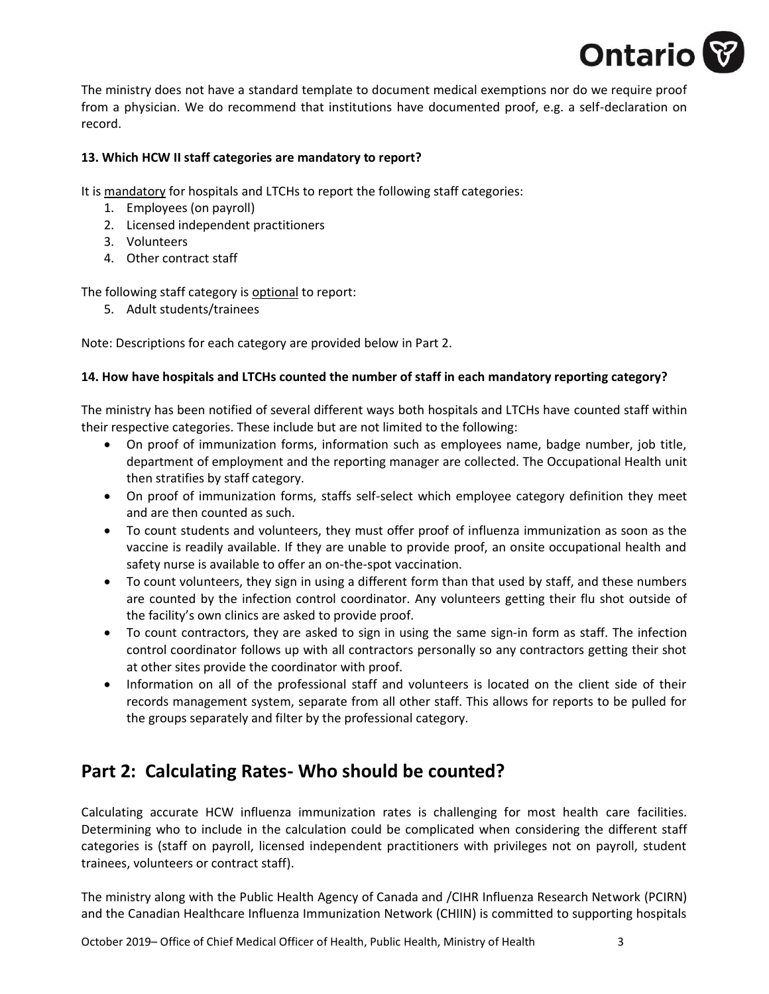

The ministry does not have a standard template to document medical exemptions nor do we require proof from a physician. We do recommend that institutions have documented proof, e.g. a self-declaration on record.

### **13. Which HCW II staff categories are mandatory to report?**

It is mandatory for hospitals and LTCHs to report the following staff categories:

- 1. Employees (on payroll)
- 2. Licensed independent practitioners
- 3. Volunteers
- 4. Other contract staff

The following staff category is optional to report:

5. Adult students/trainees

Note: Descriptions for each category are provided below in Part 2.

## **14. How have hospitals and LTCHs counted the number of staff in each mandatory reporting category?**

The ministry has been notified of several different ways both hospitals and LTCHs have counted staff within their respective categories. These include but are not limited to the following:

- On proof of immunization forms, information such as employees name, badge number, job title, department of employment and the reporting manager are collected. The Occupational Health unit then stratifies by staff category.
- On proof of immunization forms, staffs self-select which employee category definition they meet and are then counted as such.
- To count students and volunteers, they must offer proof of influenza immunization as soon as the vaccine is readily available. If they are unable to provide proof, an onsite occupational health and safety nurse is available to offer an on-the-spot vaccination.
- To count volunteers, they sign in using a different form than that used by staff, and these numbers are counted by the infection control coordinator. Any volunteers getting their flu shot outside of the facility's own clinics are asked to provide proof.
- To count contractors, they are asked to sign in using the same sign-in form as staff. The infection control coordinator follows up with all contractors personally so any contractors getting their shot at other sites provide the coordinator with proof.
- Information on all of the professional staff and volunteers is located on the client side of their records management system, separate from all other staff. This allows for reports to be pulled for the groups separately and filter by the professional category.

# **Part 2: Calculating Rates- Who should be counted?**

Calculating accurate HCW influenza immunization rates is challenging for most health care facilities. Determining who to include in the calculation could be complicated when considering the different staff categories is (staff on payroll, licensed independent practitioners with privileges not on payroll, student trainees, volunteers or contract staff).

The ministry along with the Public Health Agency of Canada and /CIHR Influenza Research Network (PCIRN) and the Canadian Healthcare Influenza Immunization Network (CHIIN) is committed to supporting hospitals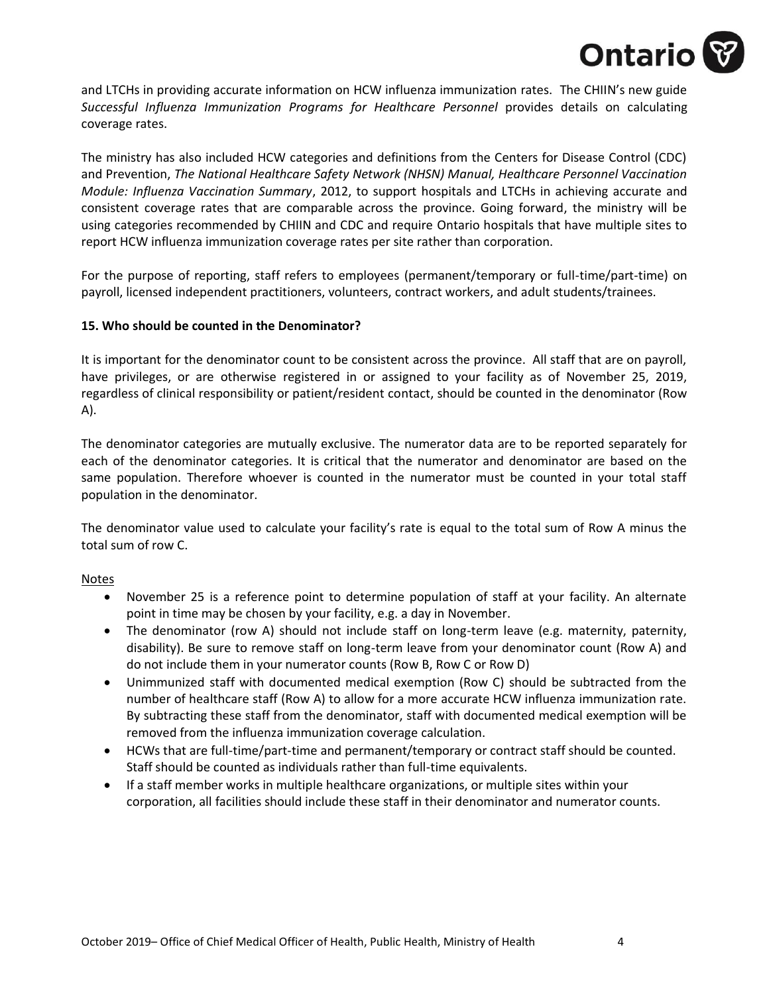

and LTCHs in providing accurate information on HCW influenza immunization rates. The CHIIN's new guide *Successful Influenza Immunization Programs for Healthcare Personnel* provides details on calculating coverage rates.

The ministry has also included HCW categories and definitions from the Centers for Disease Control (CDC) and Prevention, *The National Healthcare Safety Network (NHSN) Manual, Healthcare Personnel Vaccination Module: Influenza Vaccination Summary*, 2012, to support hospitals and LTCHs in achieving accurate and consistent coverage rates that are comparable across the province. Going forward, the ministry will be using categories recommended by CHIIN and CDC and require Ontario hospitals that have multiple sites to report HCW influenza immunization coverage rates per site rather than corporation.

For the purpose of reporting, staff refers to employees (permanent/temporary or full-time/part-time) on payroll, licensed independent practitioners, volunteers, contract workers, and adult students/trainees.

#### **15. Who should be counted in the Denominator?**

It is important for the denominator count to be consistent across the province. All staff that are on payroll, have privileges, or are otherwise registered in or assigned to your facility as of November 25, 2019, regardless of clinical responsibility or patient/resident contact, should be counted in the denominator (Row A).

The denominator categories are mutually exclusive. The numerator data are to be reported separately for each of the denominator categories. It is critical that the numerator and denominator are based on the same population. Therefore whoever is counted in the numerator must be counted in your total staff population in the denominator.

The denominator value used to calculate your facility's rate is equal to the total sum of Row A minus the total sum of row C.

#### Notes

- November 25 is a reference point to determine population of staff at your facility. An alternate point in time may be chosen by your facility, e.g. a day in November.
- The denominator (row A) should not include staff on long-term leave (e.g. maternity, paternity, disability). Be sure to remove staff on long-term leave from your denominator count (Row A) and do not include them in your numerator counts (Row B, Row C or Row D)
- Unimmunized staff with documented medical exemption (Row C) should be subtracted from the number of healthcare staff (Row A) to allow for a more accurate HCW influenza immunization rate. By subtracting these staff from the denominator, staff with documented medical exemption will be removed from the influenza immunization coverage calculation.
- HCWs that are full-time/part-time and permanent/temporary or contract staff should be counted. Staff should be counted as individuals rather than full-time equivalents.
- If a staff member works in multiple healthcare organizations, or multiple sites within your corporation, all facilities should include these staff in their denominator and numerator counts.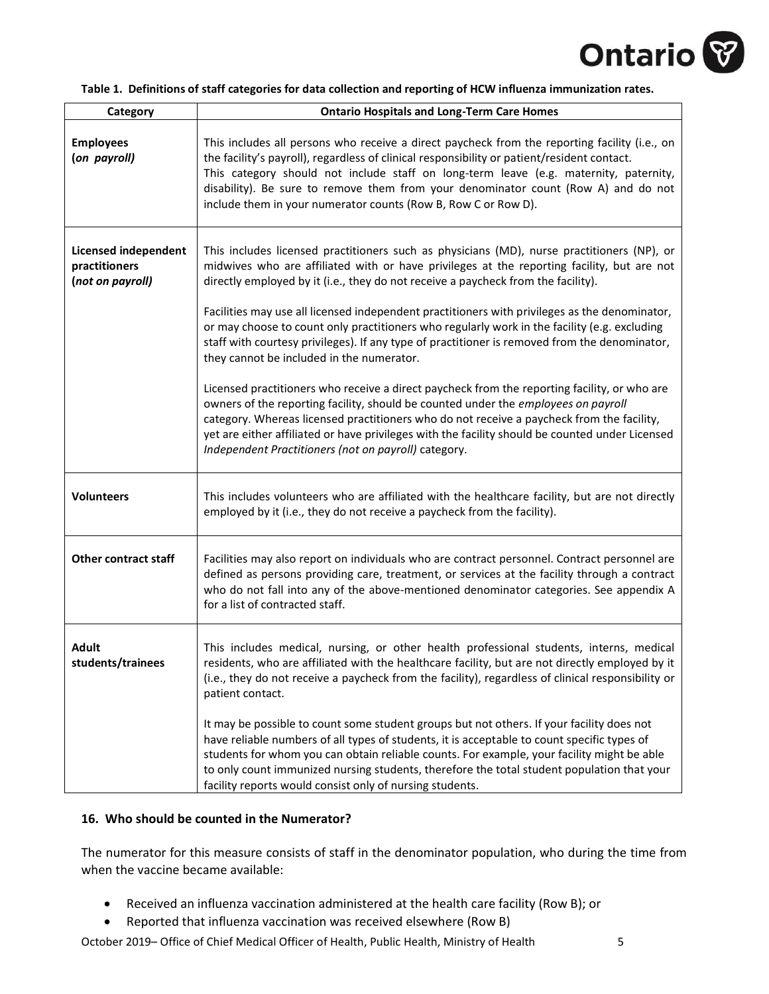

|  |  |  |  |  |  | Table 1. Definitions of staff categories for data collection and reporting of HCW influenza immunization rates. |
|--|--|--|--|--|--|-----------------------------------------------------------------------------------------------------------------|
|--|--|--|--|--|--|-----------------------------------------------------------------------------------------------------------------|

| Category                                                         | <b>Ontario Hospitals and Long-Term Care Homes</b>                                                                                                                                                                                                                                                                                                                                                                                                                                                                                                                               |
|------------------------------------------------------------------|---------------------------------------------------------------------------------------------------------------------------------------------------------------------------------------------------------------------------------------------------------------------------------------------------------------------------------------------------------------------------------------------------------------------------------------------------------------------------------------------------------------------------------------------------------------------------------|
| <b>Employees</b><br>(on payroll)                                 | This includes all persons who receive a direct paycheck from the reporting facility (i.e., on<br>the facility's payroll), regardless of clinical responsibility or patient/resident contact.<br>This category should not include staff on long-term leave (e.g. maternity, paternity,<br>disability). Be sure to remove them from your denominator count (Row A) and do not<br>include them in your numerator counts (Row B, Row C or Row D).                                                                                                                                   |
| <b>Licensed independent</b><br>practitioners<br>(not on payroll) | This includes licensed practitioners such as physicians (MD), nurse practitioners (NP), or<br>midwives who are affiliated with or have privileges at the reporting facility, but are not<br>directly employed by it (i.e., they do not receive a paycheck from the facility).<br>Facilities may use all licensed independent practitioners with privileges as the denominator,<br>or may choose to count only practitioners who regularly work in the facility (e.g. excluding<br>staff with courtesy privileges). If any type of practitioner is removed from the denominator, |
|                                                                  | they cannot be included in the numerator.                                                                                                                                                                                                                                                                                                                                                                                                                                                                                                                                       |
|                                                                  | Licensed practitioners who receive a direct paycheck from the reporting facility, or who are<br>owners of the reporting facility, should be counted under the employees on payroll<br>category. Whereas licensed practitioners who do not receive a paycheck from the facility,<br>yet are either affiliated or have privileges with the facility should be counted under Licensed<br>Independent Practitioners (not on payroll) category.                                                                                                                                      |
| <b>Volunteers</b>                                                | This includes volunteers who are affiliated with the healthcare facility, but are not directly<br>employed by it (i.e., they do not receive a paycheck from the facility).                                                                                                                                                                                                                                                                                                                                                                                                      |
| <b>Other contract staff</b>                                      | Facilities may also report on individuals who are contract personnel. Contract personnel are<br>defined as persons providing care, treatment, or services at the facility through a contract<br>who do not fall into any of the above-mentioned denominator categories. See appendix A<br>for a list of contracted staff.                                                                                                                                                                                                                                                       |
| <b>Adult</b><br>students/trainees                                | This includes medical, nursing, or other health professional students, interns, medical<br>residents, who are affiliated with the healthcare facility, but are not directly employed by it<br>(i.e., they do not receive a paycheck from the facility), regardless of clinical responsibility or<br>patient contact.                                                                                                                                                                                                                                                            |
|                                                                  | It may be possible to count some student groups but not others. If your facility does not<br>have reliable numbers of all types of students, it is acceptable to count specific types of<br>students for whom you can obtain reliable counts. For example, your facility might be able<br>to only count immunized nursing students, therefore the total student population that your<br>facility reports would consist only of nursing students.                                                                                                                                |

#### **16. Who should be counted in the Numerator?**

The numerator for this measure consists of staff in the denominator population, who during the time from when the vaccine became available:

- Received an influenza vaccination administered at the health care facility (Row B); or
- Reported that influenza vaccination was received elsewhere (Row B)

October 2019– Office of Chief Medical Officer of Health, Public Health, Ministry of Health 5